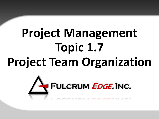# **Project Management Topic 1.7 Project Team Organization**

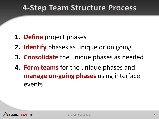#### 4-Step Team Structure Process

- **1. Define** project phases
- **2. Identify** phases as unique or on going
- **3. Consolidate** the unique phases as needed
- **4. Form teams** for the unique phases and **manage on-going phases** using interface events

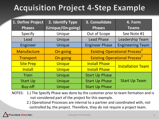# **Acquisition Project 4-Step Example**

| 1. Define Project | 2. Identify Type  | 3. Consolidate                                   | 4. Form                  |  |
|-------------------|-------------------|--------------------------------------------------|--------------------------|--|
| <b>Phases</b>     | (Unique/On-going) | <b>Phases</b>                                    | <b>Teams</b>             |  |
| Specify           | Unique            | Out of Scope                                     | See Note #1              |  |
| Lead              | Unique            | <b>Lead Phase</b>                                | <b>Leadership Team</b>   |  |
| Engineer          | Unique            | <b>Engineer Phase</b>                            | <b>Engineering Team</b>  |  |
| Manufacture       | On-going          | <b>Existing Operational Process<sup>2</sup></b>  |                          |  |
| Transport         | On-going          | <b>Existing Operational Process</b> <sup>2</sup> |                          |  |
| <b>Site Prep</b>  | Unique            | <b>Install Phase</b>                             | <b>Installation Team</b> |  |
| Install           | Unique            | <b>Install Phase</b>                             |                          |  |
| Train             | Unique            | <b>Start Up Phase</b>                            |                          |  |
| <b>Start Up</b>   | Unique            | <b>Start Up Phase</b>                            | <b>Start Up Team</b>     |  |
| <b>Buy-off</b>    | Unique            | <b>Start Up Phase</b>                            |                          |  |

NOTES: 1.) The Specify Phase was done by the customer prior to team formation and is not considered part of the project for this example.

> 2.) Operational Processes are internal to a partner and coordinated with, not controlled by, the project. Therefore, they do not require a project team.

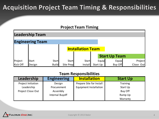#### **Acquisition Project Team Timing & Responsibilities**

#### **Project Team Timing**

|                 | <b>Leadership Team</b>  |                          |              |         |                      |         |           |
|-----------------|-------------------------|--------------------------|--------------|---------|----------------------|---------|-----------|
|                 | <b>Engineering Team</b> |                          |              |         |                      |         |           |
|                 |                         | <b>Installation Team</b> |              |         |                      |         |           |
|                 |                         |                          |              |         | <b>Start Up Team</b> |         |           |
| Project         | <b>Start</b>            | <b>Start</b>             | <b>Start</b> | Start   | Equip                | Equip   | Project   |
| <b>Kick Off</b> | Design                  | <b>Build</b>             | Site Prep    | Install | Start Up             | Buy Off | Close Out |

#### **Team Responsibilities**

| Leadership         | <b>Engineering</b> | <b>Installation</b>           | <b>Start Up</b> |
|--------------------|--------------------|-------------------------------|-----------------|
| Project Initiation | Design             | Prepare Site for Install      | Training        |
| Leadership         | Procurement        | <b>Equipment Installation</b> | Start Up        |
| Project Close Out  | Assembly           |                               | <b>Buy Off</b>  |
|                    | Internal Buyoff    |                               | Ramp Up         |
|                    |                    |                               | Warranty        |

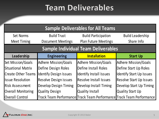### **Team Deliverables**

| <b>Sample Deliverables for All Teams</b>   |                               |                               |                                                                      |  |  |  |
|--------------------------------------------|-------------------------------|-------------------------------|----------------------------------------------------------------------|--|--|--|
| <b>Set Norms</b>                           | <b>Build Trust</b>            | <b>Build Participation</b>    | <b>Build Leadership</b>                                              |  |  |  |
| <b>Meet Timing</b>                         | <b>Document Meetings</b>      | <b>Plan Future Meetings</b>   | Share Info                                                           |  |  |  |
| <b>Sample Individual Team Deliverables</b> |                               |                               |                                                                      |  |  |  |
| Leadership                                 | <b>Engineering</b>            | <b>Installation</b>           | <b>Start Up</b>                                                      |  |  |  |
| <b>Set Mission/Goals</b>                   | <b>Adhere Mission/Goals</b>   | <b>Adhere Mission/Goals</b>   | <b>Adhere Mission/Goals</b>                                          |  |  |  |
| <b>Situational Matrix</b>                  | Define Design Roles           | Define Install Roles          | Define Start Up Roles                                                |  |  |  |
| <b>Create Other Teams</b>                  | <b>Identify Design Issues</b> | Identify Install Issues       | <b>Identify Start Up Issues</b>                                      |  |  |  |
| <b>Issue Resolution</b>                    | <b>Resolve Design issues</b>  | <b>Resolve Install Issues</b> | <b>Resolve Start Up Issues</b>                                       |  |  |  |
| <b>Risk Assessment</b>                     | <b>Develop Design Timing</b>  | <b>Develop Install Timing</b> | <b>Develop Start Up Timing</b>                                       |  |  |  |
| <b>Overall Monitoring</b>                  | <b>Quality Design</b>         | <b>Quality Install</b>        | <b>Quality Start Up</b>                                              |  |  |  |
| <b>Overall Control</b>                     |                               |                               | Track Team Performance Track Team Performance Track Team Performance |  |  |  |

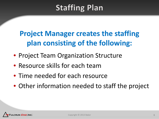## **Staffing Plan**

#### **Project Manager creates the staffing plan consisting of the following:**

- Project Team Organization Structure
- Resource skills for each team
- Time needed for each resource
- Other information needed to staff the project

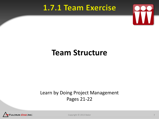#### 1.7.1 Team Exercise



#### **1.7.1 Team Exercise Team Structure**

#### Learn by Doing Project Management Pages 21-22



Copyright © 2013 Baker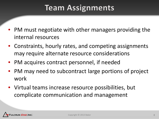### **Team Assignments**

- PM must negotiate with other managers providing the internal resources
- Constraints, hourly rates, and competing assignments may require alternate resource considerations
- PM acquires contract personnel, if needed
- PM may need to subcontract large portions of project work
- Virtual teams increase resource possibilities, but complicate communication and management

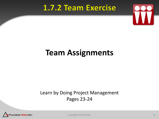#### 1.7.2 Team Exercise



#### **1.7.2 Team Exercise Team Assignments**

#### Learn by Doing Project Management Pages 23-24



Copyright © 2013 Baker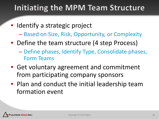### Initiating the MPM Team Structure

- Identify a strategic project
	- Based on Size, Risk, Opportunity, or Complexity
- Define the team structure (4 step Process)
	- Define phases, Identify Type, Consolidate phases, Form Teams
- Get voluntary agreement and commitment from participating company sponsors
- Plan and conduct the initial leadership team formation event